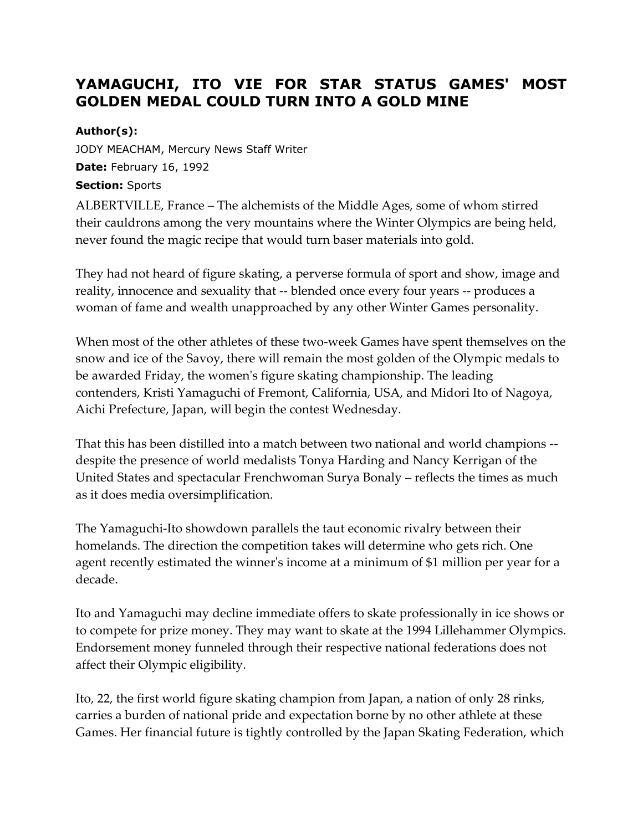## **YAMAGUCHI, ITO VIE FOR STAR STATUS GAMES' MOST GOLDEN MEDAL COULD TURN INTO A GOLD MINE**

## **Author(s):**

JODY MEACHAM, Mercury News Staff Writer **Date:** February 16, 1992 **Section:** Sports

ALBERTVILLE, France – The alchemists of the Middle Ages, some of whom stirred their cauldrons among the very mountains where the Winter Olympics are being held, never found the magic recipe that would turn baser materials into gold.

They had not heard of figure skating, a perverse formula of sport and show, image and reality, innocence and sexuality that -- blended once every four years -- produces a woman of fame and wealth unapproached by any other Winter Games personality.

When most of the other athletes of these two-week Games have spent themselves on the snow and ice of the Savoy, there will remain the most golden of the Olympic medals to be awarded Friday, the women's figure skating championship. The leading contenders, Kristi Yamaguchi of Fremont, California, USA, and Midori Ito of Nagoya, Aichi Prefecture, Japan, will begin the contest Wednesday.

That this has been distilled into a match between two national and world champions - despite the presence of world medalists Tonya Harding and Nancy Kerrigan of the United States and spectacular Frenchwoman Surya Bonaly – reflects the times as much as it does media oversimplification.

The Yamaguchi-Ito showdown parallels the taut economic rivalry between their homelands. The direction the competition takes will determine who gets rich. One agent recently estimated the winner's income at a minimum of \$1 million per year for a decade.

Ito and Yamaguchi may decline immediate offers to skate professionally in ice shows or to compete for prize money. They may want to skate at the 1994 Lillehammer Olympics. Endorsement money funneled through their respective national federations does not affect their Olympic eligibility.

Ito, 22, the first world figure skating champion from Japan, a nation of only 28 rinks, carries a burden of national pride and expectation borne by no other athlete at these Games. Her financial future is tightly controlled by the Japan Skating Federation, which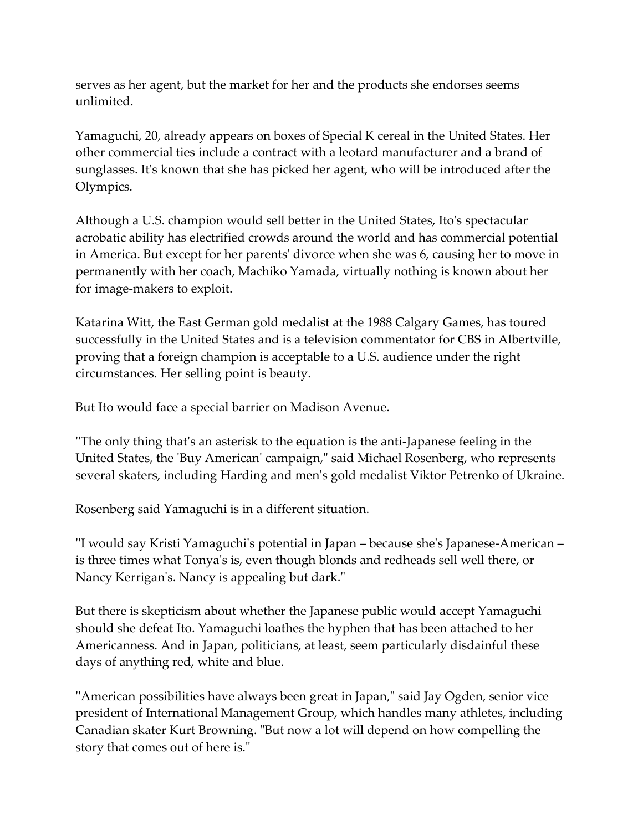serves as her agent, but the market for her and the products she endorses seems unlimited.

Yamaguchi, 20, already appears on boxes of Special K cereal in the United States. Her other commercial ties include a contract with a leotard manufacturer and a brand of sunglasses. It's known that she has picked her agent, who will be introduced after the Olympics.

Although a U.S. champion would sell better in the United States, Ito's spectacular acrobatic ability has electrified crowds around the world and has commercial potential in America. But except for her parents' divorce when she was 6, causing her to move in permanently with her coach, Machiko Yamada, virtually nothing is known about her for image-makers to exploit.

Katarina Witt, the East German gold medalist at the 1988 Calgary Games, has toured successfully in the United States and is a television commentator for CBS in Albertville, proving that a foreign champion is acceptable to a U.S. audience under the right circumstances. Her selling point is beauty.

But Ito would face a special barrier on Madison Avenue.

''The only thing that's an asterisk to the equation is the anti-Japanese feeling in the United States, the 'Buy American' campaign," said Michael Rosenberg, who represents several skaters, including Harding and men's gold medalist Viktor Petrenko of Ukraine.

Rosenberg said Yamaguchi is in a different situation.

''I would say Kristi Yamaguchi's potential in Japan – because she's Japanese-American – is three times what Tonya's is, even though blonds and redheads sell well there, or Nancy Kerrigan's. Nancy is appealing but dark."

But there is skepticism about whether the Japanese public would accept Yamaguchi should she defeat Ito. Yamaguchi loathes the hyphen that has been attached to her Americanness. And in Japan, politicians, at least, seem particularly disdainful these days of anything red, white and blue.

''American possibilities have always been great in Japan," said Jay Ogden, senior vice president of International Management Group, which handles many athletes, including Canadian skater Kurt Browning. "But now a lot will depend on how compelling the story that comes out of here is."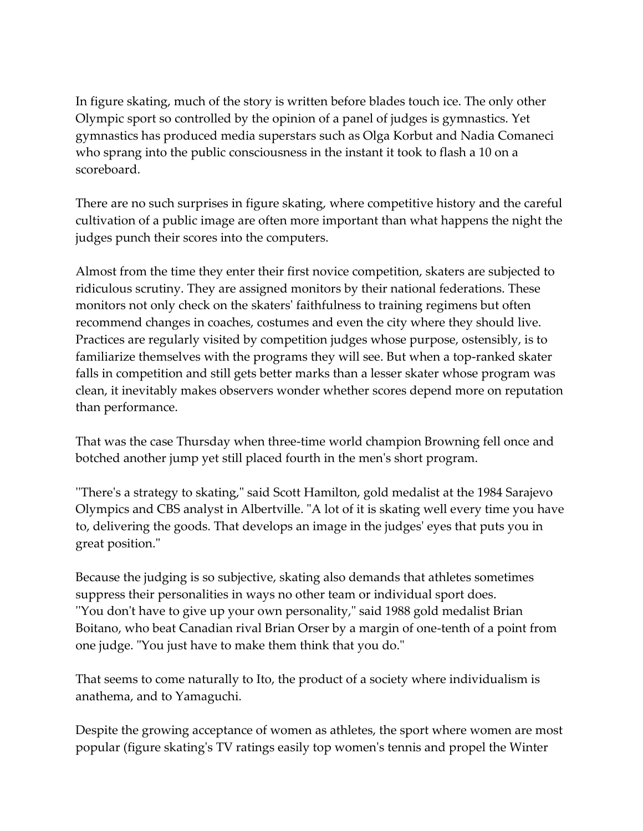In figure skating, much of the story is written before blades touch ice. The only other Olympic sport so controlled by the opinion of a panel of judges is gymnastics. Yet gymnastics has produced media superstars such as Olga Korbut and Nadia Comaneci who sprang into the public consciousness in the instant it took to flash a 10 on a scoreboard.

There are no such surprises in figure skating, where competitive history and the careful cultivation of a public image are often more important than what happens the night the judges punch their scores into the computers.

Almost from the time they enter their first novice competition, skaters are subjected to ridiculous scrutiny. They are assigned monitors by their national federations. These monitors not only check on the skaters' faithfulness to training regimens but often recommend changes in coaches, costumes and even the city where they should live. Practices are regularly visited by competition judges whose purpose, ostensibly, is to familiarize themselves with the programs they will see. But when a top-ranked skater falls in competition and still gets better marks than a lesser skater whose program was clean, it inevitably makes observers wonder whether scores depend more on reputation than performance.

That was the case Thursday when three-time world champion Browning fell once and botched another jump yet still placed fourth in the men's short program.

''There's a strategy to skating," said Scott Hamilton, gold medalist at the 1984 Sarajevo Olympics and CBS analyst in Albertville. "A lot of it is skating well every time you have to, delivering the goods. That develops an image in the judges' eyes that puts you in great position."

Because the judging is so subjective, skating also demands that athletes sometimes suppress their personalities in ways no other team or individual sport does. ''You don't have to give up your own personality," said 1988 gold medalist Brian Boitano, who beat Canadian rival Brian Orser by a margin of one-tenth of a point from one judge. "You just have to make them think that you do."

That seems to come naturally to Ito, the product of a society where individualism is anathema, and to Yamaguchi.

Despite the growing acceptance of women as athletes, the sport where women are most popular (figure skating's TV ratings easily top women's tennis and propel the Winter